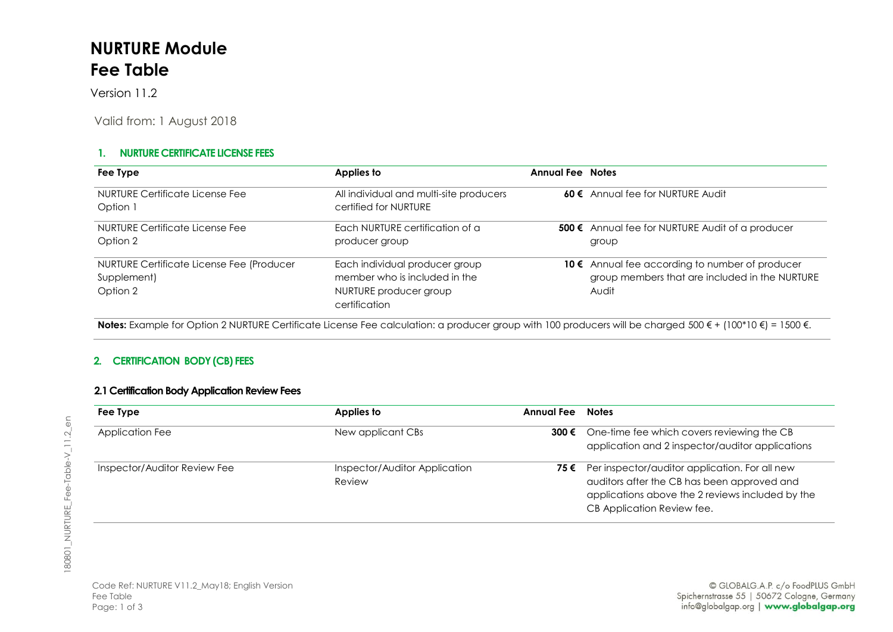# **NURTURE Module Fee Table**

Version 11.2

Valid from: 1 August 2018

### **1. NURTURE CERTIFICATE LICENSE FEES**

| Fee Type                                                             | Applies to                                                                                                 | <b>Annual Fee Notes</b> | 60 € Annual fee for NURTURE Audit                                                                          |  |
|----------------------------------------------------------------------|------------------------------------------------------------------------------------------------------------|-------------------------|------------------------------------------------------------------------------------------------------------|--|
| NURTURE Certificate License Fee<br>Option 1                          | All individual and multi-site producers<br>certified for NURTURE                                           |                         |                                                                                                            |  |
| NURTURE Certificate License Fee<br>Option 2                          | Each NURTURE certification of a<br>producer group                                                          |                         | 500 € Annual fee for NURTURE Audit of a producer<br>group                                                  |  |
| NURTURE Certificate License Fee (Producer<br>Supplement)<br>Option 2 | Each individual producer group<br>member who is included in the<br>NURTURE producer group<br>certification |                         | 10 € Annual fee according to number of producer<br>group members that are included in the NURTURE<br>Audit |  |

**Notes:** Example for Option 2 NURTURE Certificate License Fee calculation: a producer group with 100 producers will be charged 500 € + (100\*10 €) = 1500 €.

### **2. CERTIFICATION BODY (CB) FEES**

#### **2.1 Certification Body Application Review Fees**

| Fee Type                     | Applies to                              | Annual Fee | <b>Notes</b>                                                                                                                                                                         |  |
|------------------------------|-----------------------------------------|------------|--------------------------------------------------------------------------------------------------------------------------------------------------------------------------------------|--|
| Application Fee              | New applicant CBs                       |            | 300 € One-time fee which covers reviewing the CB<br>application and 2 inspector/auditor applications                                                                                 |  |
| Inspector/Auditor Review Fee | Inspector/Auditor Application<br>Review |            | 75 € Per inspector/auditor application. For all new<br>auditors after the CB has been approved and<br>applications above the 2 reviews included by the<br>CB Application Review fee. |  |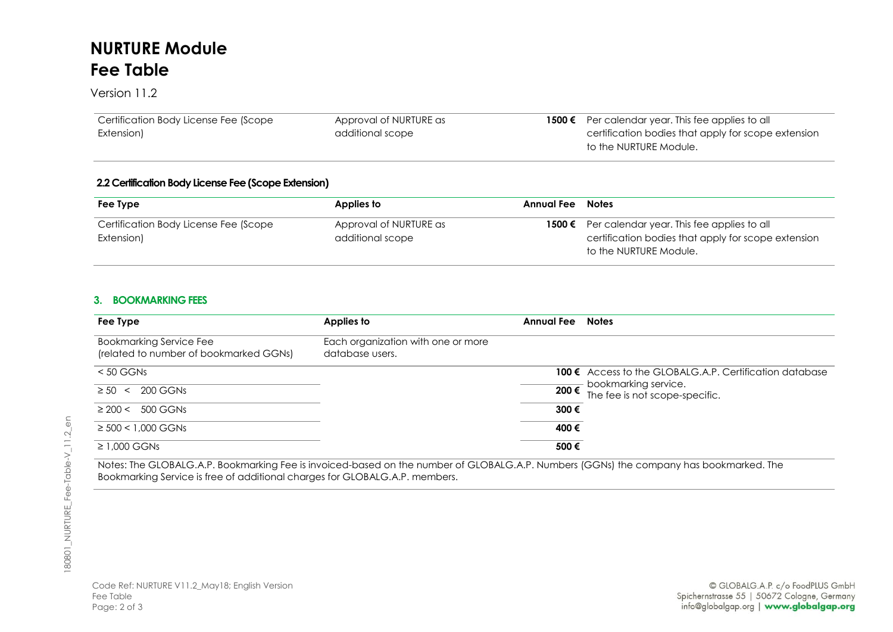## **NURTURE Module Fee Table**

Version 11.2

| Certification Body License Fee (Scope | Approval of NURTURE as | 1500 € Per calendar year. This fee applies to all   |
|---------------------------------------|------------------------|-----------------------------------------------------|
| Extension)                            | additional scope       | certification bodies that apply for scope extension |
|                                       |                        | to the NURTURE Module.                              |

#### **2.2Certification Body License Fee (Scope Extension)**

| Fee Type                                            | Applies to                                 | Annual Fee | <b>Notes</b>                                                                                                                              |
|-----------------------------------------------------|--------------------------------------------|------------|-------------------------------------------------------------------------------------------------------------------------------------------|
| Certification Body License Fee (Scope<br>Extension) | Approval of NURTURE as<br>additional scope |            | <b>1500 €</b> Per calendar year. This fee applies to all<br>certification bodies that apply for scope extension<br>to the NURTURE Module. |

#### **3. BOOKMARKING FEES**

| Fee Type                                                                 | Applies to                                            | Annual Fee | <b>Notes</b>                                                                       |
|--------------------------------------------------------------------------|-------------------------------------------------------|------------|------------------------------------------------------------------------------------|
| <b>Bookmarking Service Fee</b><br>(related to number of bookmarked GGNs) | Each organization with one or more<br>database users. |            |                                                                                    |
| $< 50$ GGNs                                                              |                                                       |            | <b>100 <math>\epsilon</math></b> Access to the GLOBALG.A.P. Certification database |
| 200 GGNs<br>$\geq 50$<br>$\prec$                                         |                                                       |            | $\frac{1}{200}$ bookmarking service.<br>200€ The fee is not scope-specific.        |
| $\geq$ 200 < 500 GGNs                                                    |                                                       | 300€       |                                                                                    |
| $\geq 500 < 1,000$ GGNs                                                  |                                                       | 400€       |                                                                                    |
| $\geq$ 1,000 GGNs                                                        |                                                       | 500€       |                                                                                    |

Notes: The GLOBALG.A.P. Bookmarking Fee is invoiced-based on the number of GLOBALG.A.P. Numbers (GGNs) the company has bookmarked. The Bookmarking Service is free of additional charges for GLOBALG.A.P. members.